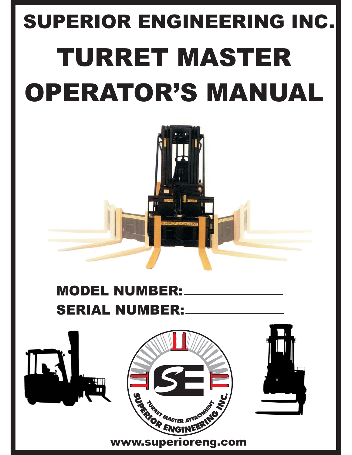## SUPERIOR ENGINEERING INC. SUPERIOR ENGINEERING INC. **TURRET MASTER** OPERATOR'S MANUAL OPERATOR'S MANUAL

### **MODEL NUMBER: SERIAL NUMBER:**

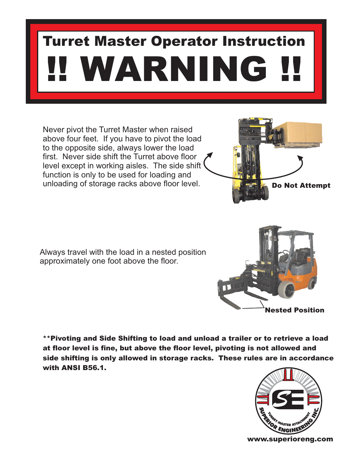# !! WARNING !! Turret Master Operator Instruction

Never pivot the Turret Master when raised above four feet. If you have to pivot the load to the opposite side, always lower the load first. Never side shift the Turret above floor level except in working aisles. The side shift function is only to be used for loading and unloading of storage racks above floor level.

Always travel with the load in a nested position approximately one foot above the floor.

\*\*Pivoting and Side Shifting to load and unload a trailer or to retrieve a load side shifting is only allowed in storage racks. These rules are in accordance with ANSI B56.1. with Ansi B56.1.



**SUPERIOR FINGINEERING STRACTURE STRACTURE STRACTURE STRACTURE STRACTURE STRACTURE STRACTURE STRACTURE STRACTUR** TURRET MASTER

*S*

R ATTACHMENT





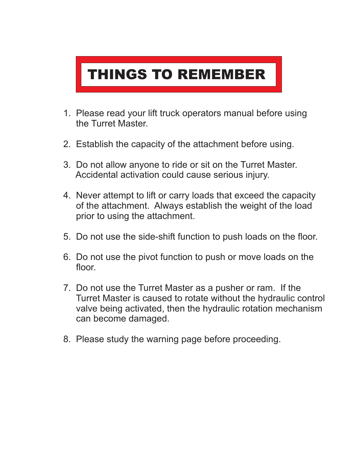#### **THINGS TO REMEMBER** THINGS TO REMEMBER

- 1. Please read your lift truck operators manual before using the Turret Master.
- 2. Establish the capacity of the attachment before using.
- 3. Do not allow anyone to ride or sit on the Turret Master. Accidental activation could cause serious injury.
- 4. Never attempt to lift or carry loads that exceed the capacity of the attachment. Always establish the weight of the load prior to using the attachment.
- 5. Do not use the side-shift function to push loads on the floor.
- 6. Do not use the pivot function to push or move loads on the floor.
- 7. Do not use the Turret Master as a pusher or ram. If the Turret Master is caused to rotate without the hydraulic control valve being activated, then the hydraulic rotation mechanism can become damaged.
- 8. Please study the warning page before proceeding.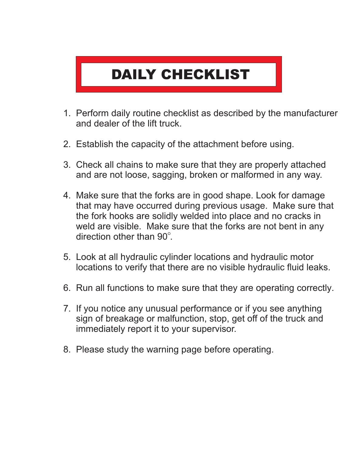#### **DAILY CHECKLIST** DAILY CHECKLIST

- 1. Perform daily routine checklist as described by the manufacturer and dealer of the lift truck.
- 2. Establish the capacity of the attachment before using.
- 3. Check all chains to make sure that they are properly attached and are not loose, sagging, broken or malformed in any way.
- 4. Make sure that the forks are in good shape. Look for damage that may have occurred during previous usage. Make sure that the fork hooks are solidly welded into place and no cracks in weld are visible. Make sure that the forks are not bent in any direction other than  $90^\circ$ .
- 5. Look at all hydraulic cylinder locations and hydraulic motor locations to verify that there are no visible hydraulic fluid leaks.
- 6. Run all functions to make sure that they are operating correctly.
- 7. If you notice any unusual performance or if you see anything sign of breakage or malfunction, stop, get off of the truck and immediately report it to your supervisor.
- 8. Please study the warning page before operating.